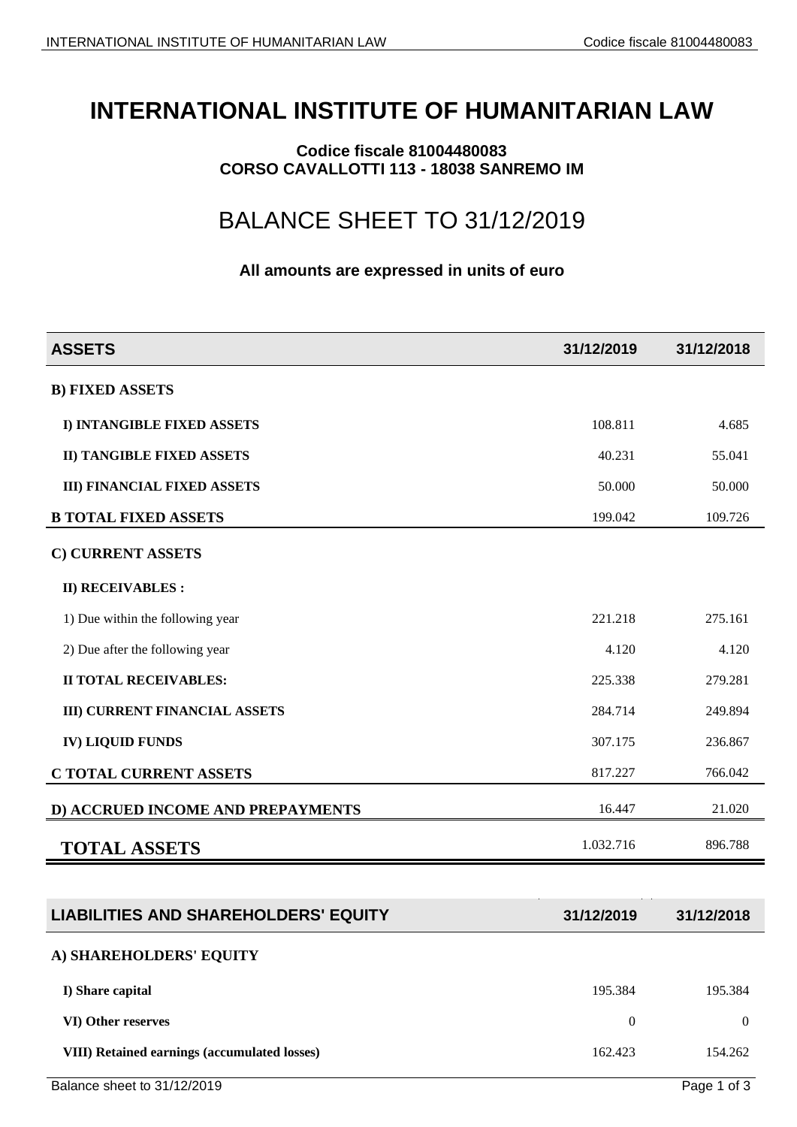## **INTERNATIONAL INSTITUTE OF HUMANITARIAN LAW**

**Codice fiscale 81004480083 CORSO CAVALLOTTI 113 - 18038 SANREMO IM**

## BALANCE SHEET TO 31/12/2019

## **All amounts are expressed in units of euro**

| <b>ASSETS</b>                                | 31/12/2019       | 31/12/2018       |
|----------------------------------------------|------------------|------------------|
| <b>B) FIXED ASSETS</b>                       |                  |                  |
| I) INTANGIBLE FIXED ASSETS                   | 108.811          | 4.685            |
| <b>II) TANGIBLE FIXED ASSETS</b>             | 40.231           | 55.041           |
| <b>III) FINANCIAL FIXED ASSETS</b>           | 50.000           | 50.000           |
| <b>B TOTAL FIXED ASSETS</b>                  | 199.042          | 109.726          |
| C) CURRENT ASSETS                            |                  |                  |
| <b>II) RECEIVABLES:</b>                      |                  |                  |
| 1) Due within the following year             | 221.218          | 275.161          |
| 2) Due after the following year              | 4.120            | 4.120            |
| <b>II TOTAL RECEIVABLES:</b>                 | 225.338          | 279.281          |
| <b>III) CURRENT FINANCIAL ASSETS</b>         | 284.714          | 249.894          |
| <b>IV) LIQUID FUNDS</b>                      | 307.175          | 236.867          |
| C TOTAL CURRENT ASSETS                       | 817.227          | 766.042          |
| D) ACCRUED INCOME AND PREPAYMENTS            | 16.447           | 21.020           |
| <b>TOTAL ASSETS</b>                          | 1.032.716        | 896.788          |
|                                              |                  |                  |
| <b>LIABILITIES AND SHAREHOLDERS' EQUITY</b>  | 31/12/2019       | 31/12/2018       |
| A) SHAREHOLDERS' EQUITY                      |                  |                  |
| I) Share capital                             | 195.384          | 195.384          |
| VI) Other reserves                           | $\boldsymbol{0}$ | $\boldsymbol{0}$ |
| VIII) Retained earnings (accumulated losses) | 162.423          | 154.262          |
|                                              |                  |                  |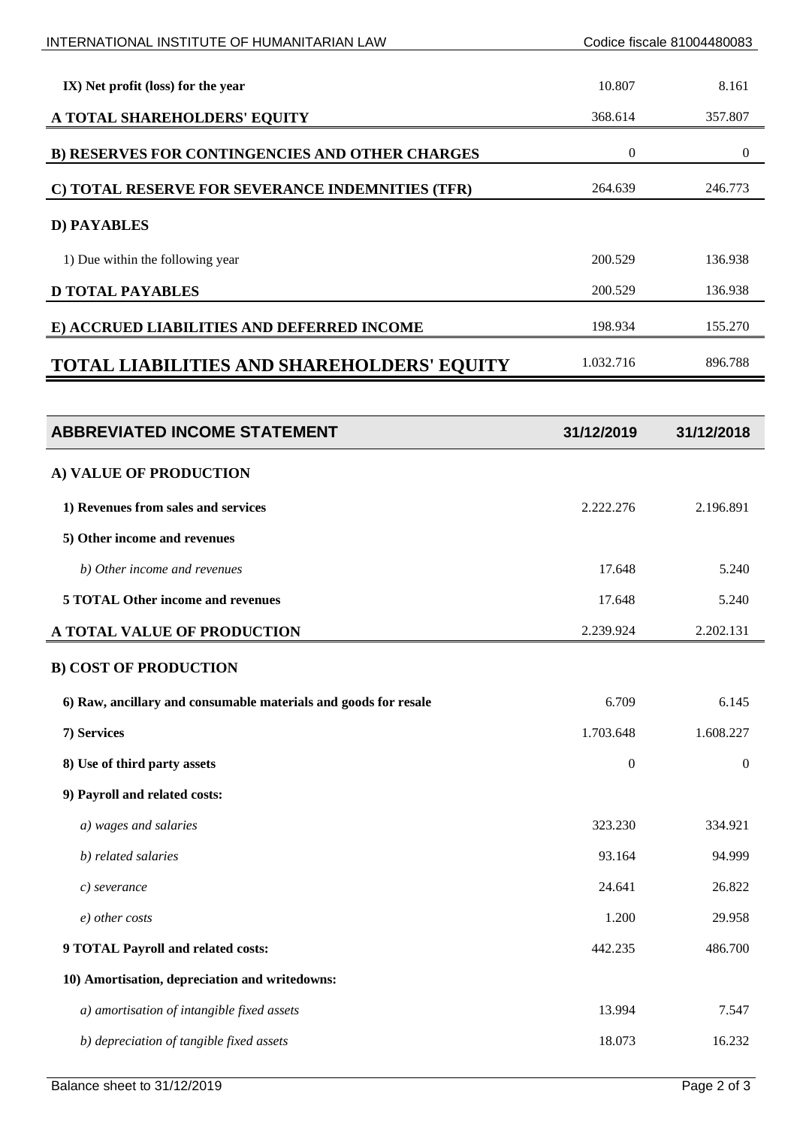| INTERNATIONAL INSTITUTE OF HUMANITARIAN LAW                     | Codice fiscale 81004480083 |                  |
|-----------------------------------------------------------------|----------------------------|------------------|
| IX) Net profit (loss) for the year                              | 10.807                     | 8.161            |
| A TOTAL SHAREHOLDERS' EQUITY                                    | 368.614                    | 357.807          |
| B) RESERVES FOR CONTINGENCIES AND OTHER CHARGES                 | $\boldsymbol{0}$           | $\boldsymbol{0}$ |
| C) TOTAL RESERVE FOR SEVERANCE INDEMNITIES (TFR)                | 264.639                    | 246.773          |
| <b>D) PAYABLES</b>                                              |                            |                  |
| 1) Due within the following year                                | 200.529                    | 136.938          |
| <b>D TOTAL PAYABLES</b>                                         | 200.529                    | 136.938          |
| E) ACCRUED LIABILITIES AND DEFERRED INCOME                      | 198.934                    | 155.270          |
| <b>TOTAL LIABILITIES AND SHAREHOLDERS' EQUITY</b>               | 1.032.716                  | 896.788          |
|                                                                 |                            |                  |
| <b>ABBREVIATED INCOME STATEMENT</b>                             | 31/12/2019                 | 31/12/2018       |
| A) VALUE OF PRODUCTION                                          |                            |                  |
| 1) Revenues from sales and services                             | 2.222.276                  | 2.196.891        |
| 5) Other income and revenues                                    |                            |                  |
| b) Other income and revenues                                    | 17.648                     | 5.240            |
| <b>5 TOTAL Other income and revenues</b>                        | 17.648                     | 5.240            |
| A TOTAL VALUE OF PRODUCTION                                     | 2.239.924                  | 2.202.131        |
| <b>B) COST OF PRODUCTION</b>                                    |                            |                  |
| 6) Raw, ancillary and consumable materials and goods for resale | 6.709                      | 6.145            |
| 7) Services                                                     | 1.703.648                  | 1.608.227        |
| 8) Use of third party assets                                    | $\boldsymbol{0}$           | $\mathbf{0}$     |
| 9) Payroll and related costs:                                   |                            |                  |
| a) wages and salaries                                           | 323.230                    | 334.921          |
| b) related salaries                                             | 93.164                     | 94.999           |
| $c)$ severance                                                  | 24.641                     | 26.822           |
| e) other costs                                                  | 1.200                      | 29.958           |
| 9 TOTAL Payroll and related costs:                              | 442.235                    | 486.700          |
| 10) Amortisation, depreciation and writedowns:                  |                            |                  |
| a) amortisation of intangible fixed assets                      | 13.994                     | 7.547            |
| b) depreciation of tangible fixed assets                        | 18.073                     | 16.232           |
|                                                                 |                            |                  |